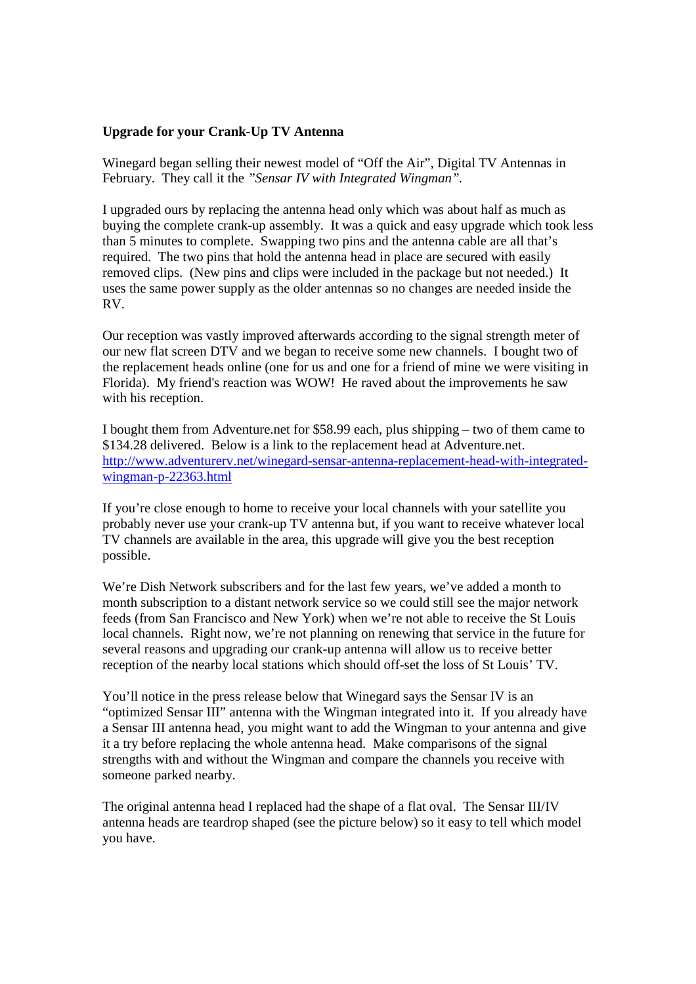## **Upgrade for your Crank-Up TV Antenna**

Winegard began selling their newest model of "Off the Air", Digital TV Antennas in February. They call it the *"Sensar IV with Integrated Wingman".*

I upgraded ours by replacing the antenna head only which was about half as much as buying the complete crank-up assembly. It was a quick and easy upgrade which took less than 5 minutes to complete. Swapping two pins and the antenna cable are all that's required. The two pins that hold the antenna head in place are secured with easily removed clips. (New pins and clips were included in the package but not needed.) It uses the same power supply as the older antennas so no changes are needed inside the RV.

Our reception was vastly improved afterwards according to the signal strength meter of our new flat screen DTV and we began to receive some new channels. I bought two of the replacement heads online (one for us and one for a friend of mine we were visiting in Florida). My friend's reaction was WOW! He raved about the improvements he saw with his reception.

I bought them from Adventure.net for \$58.99 each, plus shipping – two of them came to \$134.28 delivered. Below is a link to the replacement head at Adventure.net. http://www.adventurerv.net/winegard-sensar-antenna-replacement-head-with-integratedwingman-p-22363.html

If you're close enough to home to receive your local channels with your satellite you probably never use your crank-up TV antenna but, if you want to receive whatever local TV channels are available in the area, this upgrade will give you the best reception possible.

We're Dish Network subscribers and for the last few years, we've added a month to month subscription to a distant network service so we could still see the major network feeds (from San Francisco and New York) when we're not able to receive the St Louis local channels. Right now, we're not planning on renewing that service in the future for several reasons and upgrading our crank-up antenna will allow us to receive better reception of the nearby local stations which should off-set the loss of St Louis' TV.

You'll notice in the press release below that Winegard says the Sensar IV is an "optimized Sensar III" antenna with the Wingman integrated into it. If you already have a Sensar III antenna head, you might want to add the Wingman to your antenna and give it a try before replacing the whole antenna head. Make comparisons of the signal strengths with and without the Wingman and compare the channels you receive with someone parked nearby.

The original antenna head I replaced had the shape of a flat oval. The Sensar III/IV antenna heads are teardrop shaped (see the picture below) so it easy to tell which model you have.